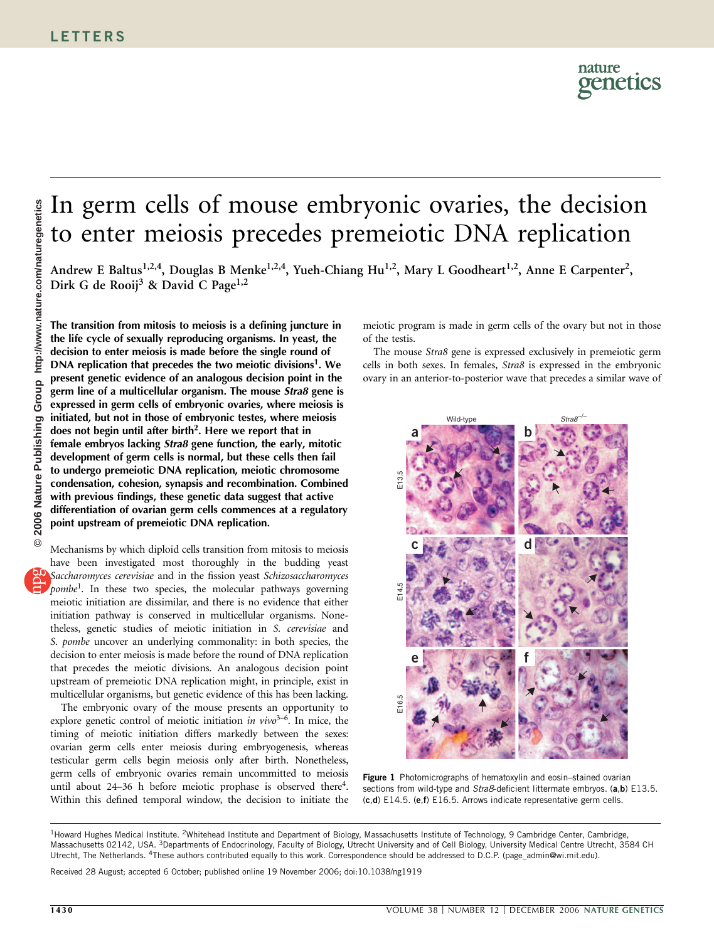## In germ cells of mouse embryonic ovaries, the decision to enter meiosis precedes premeiotic DNA replication

Andrew E Baltus<sup>1,2,4</sup>, Douglas B Menke<sup>1,2,4</sup>, Yueh-Chiang Hu<sup>1,2</sup>, Mary L Goodheart<sup>1,2</sup>, Anne E Carpenter<sup>2</sup>, Dirk G de Rooij<sup>3</sup> & David C Page<sup>1,2</sup>

http://www.nature.com/naturegenetics **© 2006 Nature Publishing Group http://www.nature.com/naturegenetics**© 2006 Nature Publishing Group

The transition from mitosis to meiosis is a defining juncture in the life cycle of sexually reproducing organisms. In yeast, the decision to enter meiosis is made before the single round of DNA replication that precedes the two meiotic divisions<sup>1</sup>. We present genetic evidence of an analogous decision point in the germ line of a multicellular organism. The mouse Stra8 gene is expressed in germ cells of embryonic ovaries, where meiosis is initiated, but not in those of embryonic testes, where meiosis does not begin until after birth<sup>2</sup>. Here we report that in female embryos lacking Stra8 gene function, the early, mitotic development of germ cells is normal, but these cells then fail to undergo premeiotic DNA replication, meiotic chromosome condensation, cohesion, synapsis and recombination. Combined with previous findings, these genetic data suggest that active differentiation of ovarian germ cells commences at a regulatory point upstream of premeiotic DNA replication.

Mechanisms by which diploid cells transition from mitosis to meiosis have been investigated most thoroughly in the budding yeast Saccharomyces cerevisiae and in the fission yeast Schizosaccharomyces pombe<sup>1</sup>. In these two species, the molecular pathways governing meiotic initiation are dissimilar, and there is no evidence that either initiation pathway is conserved in multicellular organisms. Nonetheless, genetic studies of meiotic initiation in S. cerevisiae and S. pombe uncover an underlying commonality: in both species, the decision to enter meiosis is made before the round of DNA replication that precedes the meiotic divisions. An analogous decision point upstream of premeiotic DNA replication might, in principle, exist in multicellular organisms, but genetic evidence of this has been lacking.

The embryonic ovary of the mouse presents an opportunity to explore genetic control of meiotic initiation in  $vivo<sup>3-6</sup>$ . In mice, the timing of meiotic initiation differs markedly between the sexes: ovarian germ cells enter meiosis during embryogenesis, whereas testicular germ cells begin meiosis only after birth. Nonetheless, germ cells of embryonic ovaries remain uncommitted to meiosis until about  $24-36$  h before meiotic prophase is observed there<sup>4</sup>. Within this defined temporal window, the decision to initiate the

meiotic program is made in germ cells of the ovary but not in those of the testis.

The mouse Stra8 gene is expressed exclusively in premeiotic germ cells in both sexes. In females, Stra8 is expressed in the embryonic ovary in an anterior-to-posterior wave that precedes a similar wave of



Figure 1 Photomicrographs of hematoxylin and eosin-stained ovarian sections from wild-type and Stra8-deficient littermate embryos. (a,b) E13.5. (c,d) E14.5. (e,f) E16.5. Arrows indicate representative germ cells.

Received 28 August; accepted 6 October; published online 19 November 2006; doi:10.1038/ng1919

<sup>&</sup>lt;sup>1</sup>Howard Hughes Medical Institute. <sup>2</sup>Whitehead Institute and Department of Biology, Massachusetts Institute of Technology, 9 Cambridge Center, Cambridge Massachusetts 02142, USA. 3Departments of Endocrinology, Faculty of Biology, Utrecht University and of Cell Biology, University Medical Centre Utrecht, 3584 CH Utrecht, The Netherlands. 4These authors contributed equally to this work. Correspondence should be addressed to D.C.P. (page\_admin@wi.mit.edu).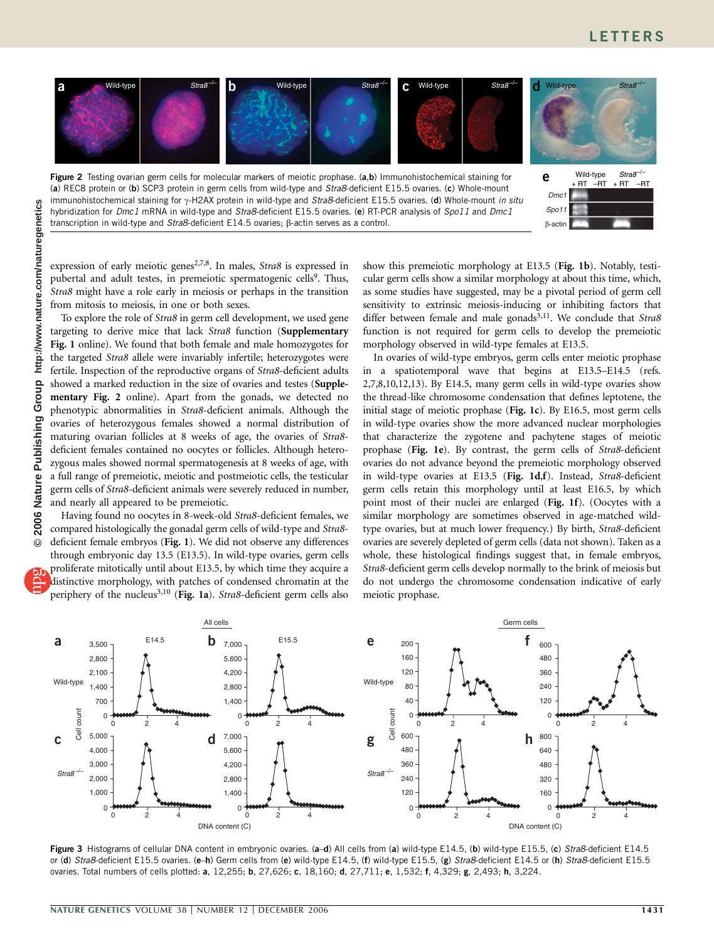

expression of early meiotic genes<sup>2,7,8</sup>. In males, Stra8 is expressed in pubertal and adult testes, in premeiotic spermatogenic cells<sup>9</sup>. Thus, Stra8 might have a role early in meiosis or perhaps in the transition from mitosis to meiosis, in one or both sexes.

To explore the role of Stra8 in germ cell development, we used gene targeting to derive mice that lack Stra8 function (Supplementary Fig. 1 online). We found that both female and male homozygotes for the targeted Stra8 allele were invariably infertile; heterozygotes were fertile. Inspection of the reproductive organs of Stra8-deficient adults showed a marked reduction in the size of ovaries and testes (Supplementary Fig. 2 online). Apart from the gonads, we detected no phenotypic abnormalities in Stra8-deficient animals. Although the ovaries of heterozygous females showed a normal distribution of maturing ovarian follicles at 8 weeks of age, the ovaries of Stra8 deficient females contained no oocytes or follicles. Although heterozygous males showed normal spermatogenesis at 8 weeks of age, with a full range of premeiotic, meiotic and postmeiotic cells, the testicular germ cells of Stra8-deficient animals were severely reduced in number, and nearly all appeared to be premeiotic.

Having found no oocytes in 8-week-old Stra8-deficient females, we compared histologically the gonadal germ cells of wild-type and Stra8 deficient female embryos (Fig. 1). We did not observe any differences through embryonic day 13.5 (E13.5). In wild-type ovaries, germ cells proliferate mitotically until about E13.5, by which time they acquire a distinctive morphology, with patches of condensed chromatin at the periphery of the nucleus<sup>3,10</sup> (Fig. 1a). Stra8-deficient germ cells also

show this premeiotic morphology at E13.5 (Fig. 1b). Notably, testicular germ cells show a similar morphology at about this time, which, as some studies have suggested, may be a pivotal period of germ cell sensitivity to extrinsic meiosis-inducing or inhibiting factors that differ between female and male gonads<sup>3,11</sup>. We conclude that Stra8 function is not required for germ cells to develop the premeiotic morphology observed in wild-type females at E13.5.

In ovaries of wild-type embryos, germ cells enter meiotic prophase in a spatiotemporal wave that begins at E13.5–E14.5 (refs. 2,7,8,10,12,13). By E14.5, many germ cells in wild-type ovaries show the thread-like chromosome condensation that defines leptotene, the initial stage of meiotic prophase (Fig. 1c). By E16.5, most germ cells in wild-type ovaries show the more advanced nuclear morphologies that characterize the zygotene and pachytene stages of meiotic prophase (Fig. 1e). By contrast, the germ cells of Stra8-deficient ovaries do not advance beyond the premeiotic morphology observed in wild-type ovaries at E13.5 (Fig. 1d,f). Instead, Stra8-deficient germ cells retain this morphology until at least E16.5, by which point most of their nuclei are enlarged (Fig. 1f). (Oocytes with a similar morphology are sometimes observed in age-matched wildtype ovaries, but at much lower frequency.) By birth, Stra8-deficient ovaries are severely depleted of germ cells (data not shown). Taken as a whole, these histological findings suggest that, in female embryos, Stra8-deficient germ cells develop normally to the brink of meiosis but do not undergo the chromosome condensation indicative of early meiotic prophase.



Figure 3 Histograms of cellular DNA content in embryonic ovaries. (a-d) All cells from (a) wild-type E14.5, (b) wild-type E15.5, (c) Stra8-deficient E14.5 or (d) Stra8-deficient E15.5 ovaries. (e-h) Germ cells from (e) wild-type E14.5, (f) wild-type E15.5, (g) Stra8-deficient E14.5 or (h) Stra8-deficient E15.5 ovaries. Total numbers of cells plotted: a, 12,255; b, 27,626; c, 18,160; d, 27,711; e, 1,532; f, 4,329; g, 2,493; h, 3,224.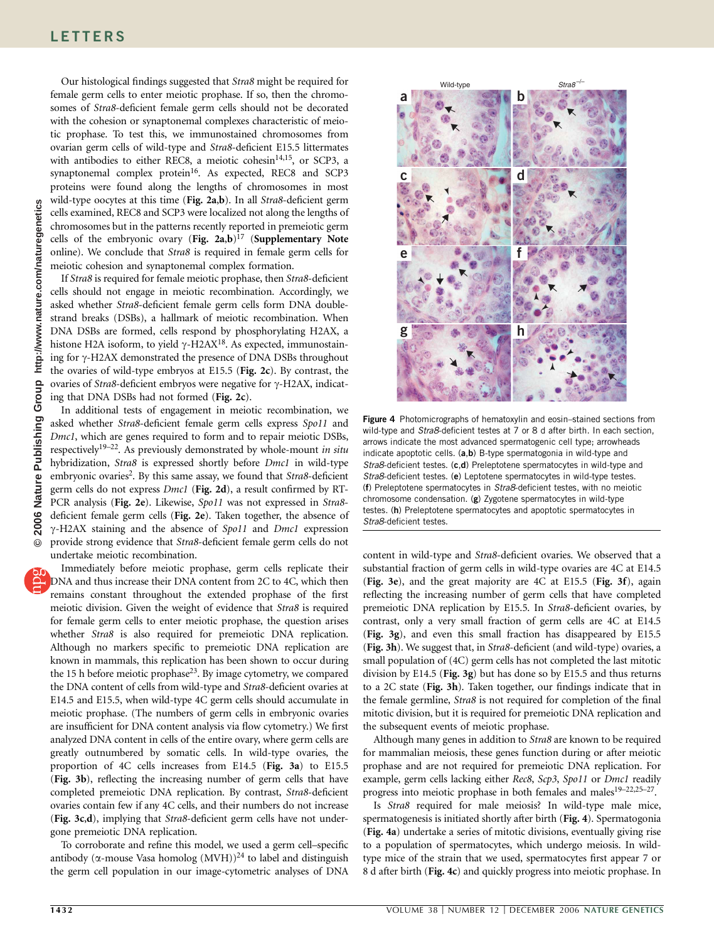Our histological findings suggested that Stra8 might be required for female germ cells to enter meiotic prophase. If so, then the chromosomes of Stra8-deficient female germ cells should not be decorated with the cohesion or synaptonemal complexes characteristic of meiotic prophase. To test this, we immunostained chromosomes from ovarian germ cells of wild-type and Stra8-deficient E15.5 littermates with antibodies to either REC8, a meiotic cohesin<sup>14,15</sup>, or SCP3, a synaptonemal complex protein<sup>16</sup>. As expected, REC8 and SCP3 proteins were found along the lengths of chromosomes in most wild-type oocytes at this time (Fig. 2a,b). In all Stra8-deficient germ cells examined, REC8 and SCP3 were localized not along the lengths of chromosomes but in the patterns recently reported in premeiotic germ cells of the embryonic ovary (Fig. 2a,b)<sup>17</sup> (Supplementary Note online). We conclude that Stra8 is required in female germ cells for meiotic cohesion and synaptonemal complex formation.

If Stra8 is required for female meiotic prophase, then Stra8-deficient cells should not engage in meiotic recombination. Accordingly, we asked whether Stra8-deficient female germ cells form DNA doublestrand breaks (DSBs), a hallmark of meiotic recombination. When DNA DSBs are formed, cells respond by phosphorylating H2AX, a histone H2A isoform, to yield  $\gamma$ -H2AX<sup>18</sup>. As expected, immunostaining for  $\gamma$ -H2AX demonstrated the presence of DNA DSBs throughout the ovaries of wild-type embryos at E15.5 (Fig. 2c). By contrast, the ovaries of  $Strab-$ -deficient embryos were negative for  $\gamma$ -H2AX, indicating that DNA DSBs had not formed (Fig. 2c).

In additional tests of engagement in meiotic recombination, we asked whether Stra8-deficient female germ cells express Spo11 and Dmc1, which are genes required to form and to repair meiotic DSBs, respectively<sup>19–22</sup>. As previously demonstrated by whole-mount in situ hybridization, Stra8 is expressed shortly before Dmc1 in wild-type embryonic ovaries<sup>2</sup>. By this same assay, we found that Stra8-deficient germ cells do not express *Dmc1* (Fig. 2d), a result confirmed by RT-PCR analysis (Fig. 2e). Likewise, Spo11 was not expressed in Stra8deficient female germ cells (Fig. 2e). Taken together, the absence of  $\gamma$ -H2AX staining and the absence of Spo11 and Dmc1 expression provide strong evidence that Stra8-deficient female germ cells do not undertake meiotic recombination.

Immediately before meiotic prophase, germ cells replicate their DNA and thus increase their DNA content from 2C to 4C, which then remains constant throughout the extended prophase of the first meiotic division. Given the weight of evidence that Stra8 is required for female germ cells to enter meiotic prophase, the question arises whether Stra8 is also required for premeiotic DNA replication. Although no markers specific to premeiotic DNA replication are known in mammals, this replication has been shown to occur during the 15 h before meiotic prophase<sup>23</sup>. By image cytometry, we compared the DNA content of cells from wild-type and Stra8-deficient ovaries at E14.5 and E15.5, when wild-type 4C germ cells should accumulate in meiotic prophase. (The numbers of germ cells in embryonic ovaries are insufficient for DNA content analysis via flow cytometry.) We first analyzed DNA content in cells of the entire ovary, where germ cells are greatly outnumbered by somatic cells. In wild-type ovaries, the proportion of 4C cells increases from E14.5 (Fig. 3a) to E15.5 (Fig. 3b), reflecting the increasing number of germ cells that have completed premeiotic DNA replication. By contrast, Stra8-deficient ovaries contain few if any 4C cells, and their numbers do not increase (Fig. 3c,d), implying that Stra8-deficient germ cells have not undergone premeiotic DNA replication.

To corroborate and refine this model, we used a germ cell–specific antibody ( $\alpha$ -mouse Vasa homolog (MVH))<sup>24</sup> to label and distinguish the germ cell population in our image-cytometric analyses of DNA



Figure 4 Photomicrographs of hematoxylin and eosin-stained sections from wild-type and *Stra8*-deficient testes at 7 or 8 d after birth. In each section, arrows indicate the most advanced spermatogenic cell type; arrowheads indicate apoptotic cells. (a,b) B-type spermatogonia in wild-type and Stra8-deficient testes. (c,d) Preleptotene spermatocytes in wild-type and Stra8-deficient testes. (e) Leptotene spermatocytes in wild-type testes. (f) Preleptotene spermatocytes in Stra8-deficient testes, with no meiotic chromosome condensation. (g) Zygotene spermatocytes in wild-type testes. (h) Preleptotene spermatocytes and apoptotic spermatocytes in Stra8-deficient testes.

content in wild-type and Stra8-deficient ovaries. We observed that a substantial fraction of germ cells in wild-type ovaries are 4C at E14.5 (Fig. 3e), and the great majority are 4C at E15.5 (Fig. 3f), again reflecting the increasing number of germ cells that have completed premeiotic DNA replication by E15.5. In Stra8-deficient ovaries, by contrast, only a very small fraction of germ cells are 4C at E14.5 (Fig. 3g), and even this small fraction has disappeared by E15.5 (Fig. 3h). We suggest that, in Stra8-deficient (and wild-type) ovaries, a small population of (4C) germ cells has not completed the last mitotic division by E14.5 (Fig. 3g) but has done so by E15.5 and thus returns to a 2C state (Fig. 3h). Taken together, our findings indicate that in the female germline, Stra8 is not required for completion of the final mitotic division, but it is required for premeiotic DNA replication and the subsequent events of meiotic prophase.

Although many genes in addition to Stra8 are known to be required for mammalian meiosis, these genes function during or after meiotic prophase and are not required for premeiotic DNA replication. For example, germ cells lacking either Rec8, Scp3, Spo11 or Dmc1 readily progress into meiotic prophase in both females and males<sup>19-22,25-27</sup>.

Is Stra8 required for male meiosis? In wild-type male mice, spermatogenesis is initiated shortly after birth (Fig. 4). Spermatogonia (Fig. 4a) undertake a series of mitotic divisions, eventually giving rise to a population of spermatocytes, which undergo meiosis. In wildtype mice of the strain that we used, spermatocytes first appear 7 or 8 d after birth (Fig. 4c) and quickly progress into meiotic prophase. In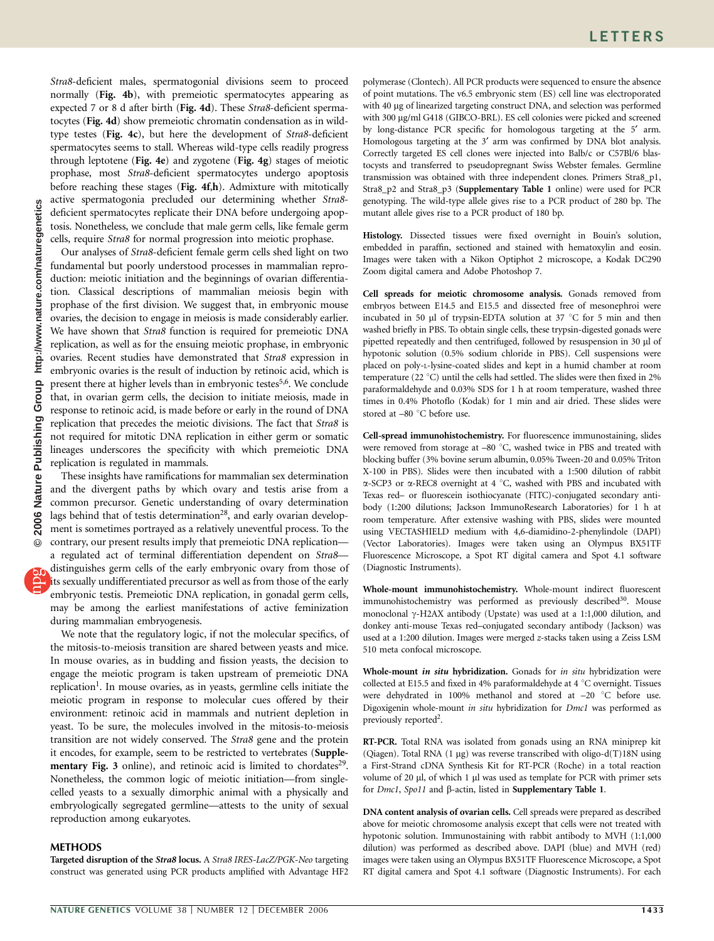Stra8-deficient males, spermatogonial divisions seem to proceed normally (Fig. 4b), with premeiotic spermatocytes appearing as expected 7 or 8 d after birth (Fig. 4d). These Stra8-deficient spermatocytes (Fig. 4d) show premeiotic chromatin condensation as in wildtype testes (Fig. 4c), but here the development of Stra8-deficient spermatocytes seems to stall. Whereas wild-type cells readily progress through leptotene (Fig. 4e) and zygotene (Fig. 4g) stages of meiotic prophase, most Stra8-deficient spermatocytes undergo apoptosis before reaching these stages (Fig. 4f,h). Admixture with mitotically active spermatogonia precluded our determining whether Stra8 deficient spermatocytes replicate their DNA before undergoing apoptosis. Nonetheless, we conclude that male germ cells, like female germ cells, require Stra8 for normal progression into meiotic prophase.

Our analyses of Stra8-deficient female germ cells shed light on two fundamental but poorly understood processes in mammalian reproduction: meiotic initiation and the beginnings of ovarian differentiation. Classical descriptions of mammalian meiosis begin with prophase of the first division. We suggest that, in embryonic mouse ovaries, the decision to engage in meiosis is made considerably earlier. We have shown that Stra8 function is required for premeiotic DNA replication, as well as for the ensuing meiotic prophase, in embryonic ovaries. Recent studies have demonstrated that Stra8 expression in embryonic ovaries is the result of induction by retinoic acid, which is present there at higher levels than in embryonic testes<sup>5,6</sup>. We conclude that, in ovarian germ cells, the decision to initiate meiosis, made in response to retinoic acid, is made before or early in the round of DNA replication that precedes the meiotic divisions. The fact that Stra8 is not required for mitotic DNA replication in either germ or somatic lineages underscores the specificity with which premeiotic DNA replication is regulated in mammals.

These insights have ramifications for mammalian sex determination and the divergent paths by which ovary and testis arise from a common precursor. Genetic understanding of ovary determination lags behind that of testis determination<sup>28</sup>, and early ovarian development is sometimes portrayed as a relatively uneventful process. To the contrary, our present results imply that premeiotic DNA replication—

a regulated act of terminal differentiation dependent on Stra8 distinguishes germ cells of the early embryonic ovary from those of its sexually undifferentiated precursor as well as from those of the early embryonic testis. Premeiotic DNA replication, in gonadal germ cells, may be among the earliest manifestations of active feminization during mammalian embryogenesis.

We note that the regulatory logic, if not the molecular specifics, of the mitosis-to-meiosis transition are shared between yeasts and mice. In mouse ovaries, as in budding and fission yeasts, the decision to engage the meiotic program is taken upstream of premeiotic DNA replication<sup>1</sup>. In mouse ovaries, as in yeasts, germline cells initiate the meiotic program in response to molecular cues offered by their environment: retinoic acid in mammals and nutrient depletion in yeast. To be sure, the molecules involved in the mitosis-to-meiosis transition are not widely conserved. The Stra8 gene and the protein it encodes, for example, seem to be restricted to vertebrates (Supplementary Fig. 3 online), and retinoic acid is limited to chordates $2^9$ . Nonetheless, the common logic of meiotic initiation—from singlecelled yeasts to a sexually dimorphic animal with a physically and embryologically segregated germline—attests to the unity of sexual reproduction among eukaryotes.

## **METHODS**

Targeted disruption of the Stra8 locus. A Stra8 IRES-LacZ/PGK-Neo targeting construct was generated using PCR products amplified with Advantage HF2

polymerase (Clontech). All PCR products were sequenced to ensure the absence of point mutations. The v6.5 embryonic stem (ES) cell line was electroporated with 40 µg of linearized targeting construct DNA, and selection was performed with 300 µg/ml G418 (GIBCO-BRL). ES cell colonies were picked and screened by long-distance PCR specific for homologous targeting at the 5<sup>'</sup> arm. Homologous targeting at the 3' arm was confirmed by DNA blot analysis. Correctly targeted ES cell clones were injected into Balb/c or C57Bl/6 blastocysts and transferred to pseudopregnant Swiss Webster females. Germline transmission was obtained with three independent clones. Primers Stra8\_p1, Stra8\_p2 and Stra8\_p3 (Supplementary Table 1 online) were used for PCR genotyping. The wild-type allele gives rise to a PCR product of 280 bp. The mutant allele gives rise to a PCR product of 180 bp.

Histology. Dissected tissues were fixed overnight in Bouin's solution, embedded in paraffin, sectioned and stained with hematoxylin and eosin. Images were taken with a Nikon Optiphot 2 microscope, a Kodak DC290 Zoom digital camera and Adobe Photoshop 7.

Cell spreads for meiotic chromosome analysis. Gonads removed from embryos between E14.5 and E15.5 and dissected free of mesonephroi were incubated in 50 µl of trypsin-EDTA solution at 37 °C for 5 min and then washed briefly in PBS. To obtain single cells, these trypsin-digested gonads were pipetted repeatedly and then centrifuged, followed by resuspension in 30 µl of hypotonic solution (0.5% sodium chloride in PBS). Cell suspensions were placed on poly-L-lysine-coated slides and kept in a humid chamber at room temperature (22  $^{\circ}$ C) until the cells had settled. The slides were then fixed in 2% paraformaldehyde and 0.03% SDS for 1 h at room temperature, washed three times in 0.4% Photoflo (Kodak) for 1 min and air dried. These slides were stored at  $-80$  °C before use.

Cell-spread immunohistochemistry. For fluorescence immunostaining, slides were removed from storage at  $-80$  °C, washed twice in PBS and treated with blocking buffer (3% bovine serum albumin, 0.05% Tween-20 and 0.05% Triton X-100 in PBS). Slides were then incubated with a 1:500 dilution of rabbit  $\alpha$ -SCP3 or  $\alpha$ -REC8 overnight at 4 °C, washed with PBS and incubated with Texas red– or fluorescein isothiocyanate (FITC)-conjugated secondary antibody (1:200 dilutions; Jackson ImmunoResearch Laboratories) for 1 h at room temperature. After extensive washing with PBS, slides were mounted using VECTASHIELD medium with 4,6-diamidino-2-phenylindole (DAPI) (Vector Laboratories). Images were taken using an Olympus BX51TF Fluorescence Microscope, a Spot RT digital camera and Spot 4.1 software (Diagnostic Instruments).

Whole-mount immunohistochemistry. Whole-mount indirect fluorescent immunohistochemistry was performed as previously described<sup>30</sup>. Mouse monoclonal  $\gamma$ -H2AX antibody (Upstate) was used at a 1:1,000 dilution, and donkey anti-mouse Texas red–conjugated secondary antibody (Jackson) was used at a 1:200 dilution. Images were merged z-stacks taken using a Zeiss LSM 510 meta confocal microscope.

Whole-mount in situ hybridization. Gonads for in situ hybridization were collected at E15.5 and fixed in 4% paraformaldehyde at 4  $\degree$ C overnight. Tissues were dehydrated in 100% methanol and stored at  $-20$  °C before use. Digoxigenin whole-mount in situ hybridization for Dmc1 was performed as previously reported<sup>2</sup>.

RT-PCR. Total RNA was isolated from gonads using an RNA miniprep kit (Qiagen). Total RNA (1  $\mu$ g) was reverse transcribed with oligo-d(T)18N using a First-Strand cDNA Synthesis Kit for RT-PCR (Roche) in a total reaction volume of 20 µl, of which 1 µl was used as template for PCR with primer sets for *Dmc1*, *Spo11* and β-actin, listed in **Supplementary Table 1**.

DNA content analysis of ovarian cells. Cell spreads were prepared as described above for meiotic chromosome analysis except that cells were not treated with hypotonic solution. Immunostaining with rabbit antibody to MVH (1:1,000 dilution) was performed as described above. DAPI (blue) and MVH (red) images were taken using an Olympus BX51TF Fluorescence Microscope, a Spot RT digital camera and Spot 4.1 software (Diagnostic Instruments). For each